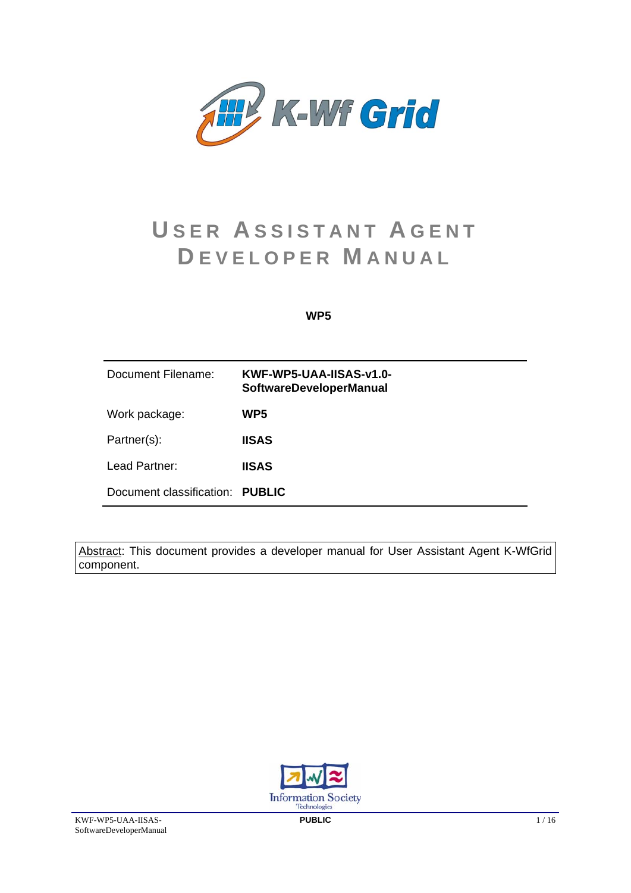

# **U SER A SSISTANT A GENT D EVELOPER M ANUAL**

## **WP5**

| Document Filename:              | KWF-WP5-UAA-IISAS-v1.0-<br><b>SoftwareDeveloperManual</b> |
|---------------------------------|-----------------------------------------------------------|
| Work package:                   | WP5                                                       |
| Partner(s):                     | <b>IISAS</b>                                              |
| Lead Partner:                   | <b>IISAS</b>                                              |
| Document classification: PUBLIC |                                                           |

Abstract: This document provides a developer manual for User Assistant Agent K-WfGrid component.

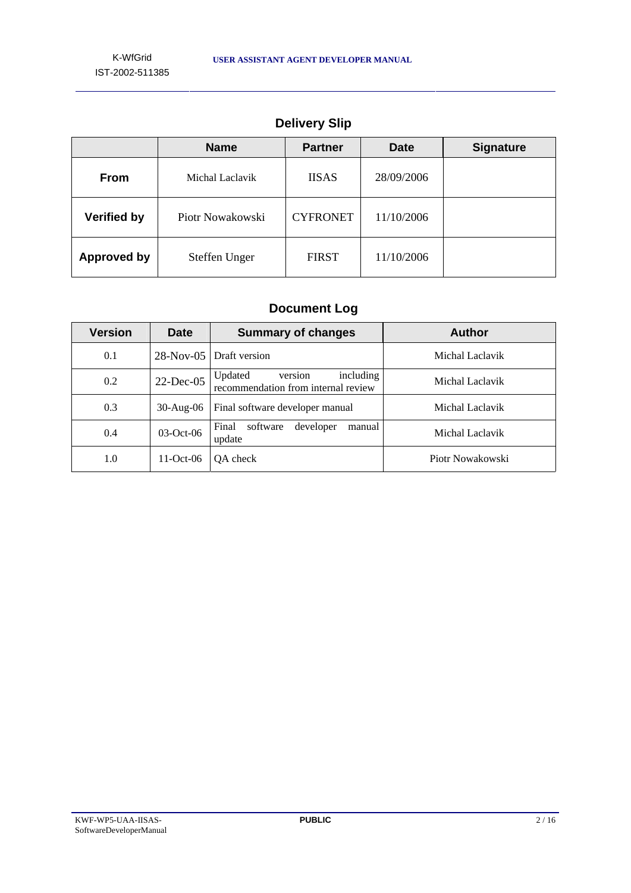|                    | <b>Name</b>      | <b>Partner</b>  | <b>Date</b> | <b>Signature</b> |
|--------------------|------------------|-----------------|-------------|------------------|
| <b>From</b>        | Michal Laclavik  | <b>IISAS</b>    | 28/09/2006  |                  |
| <b>Verified by</b> | Piotr Nowakowski | <b>CYFRONET</b> | 11/10/2006  |                  |
| <b>Approved by</b> | Steffen Unger    | <b>FIRST</b>    | 11/10/2006  |                  |

# **Delivery Slip**

# **Document Log**

| Version | Date            | <b>Summary of changes</b>                                              | <b>Author</b>    |
|---------|-----------------|------------------------------------------------------------------------|------------------|
| 0.1     | $28-Nov-05$     | Draft version                                                          | Michal Laclavik  |
| 0.2     | $22$ -Dec-05    | including<br>Updated<br>version<br>recommendation from internal review | Michal Laclavik  |
| 0.3     | $30$ -Aug- $06$ | Final software developer manual                                        | Michal Laclavik  |
| 0.4     | $03-Oct-06$     | Final<br>developer<br>software<br>manual<br>update                     | Michal Laclavik  |
| 1.0     | $11-Oct-06$     | OA check                                                               | Piotr Nowakowski |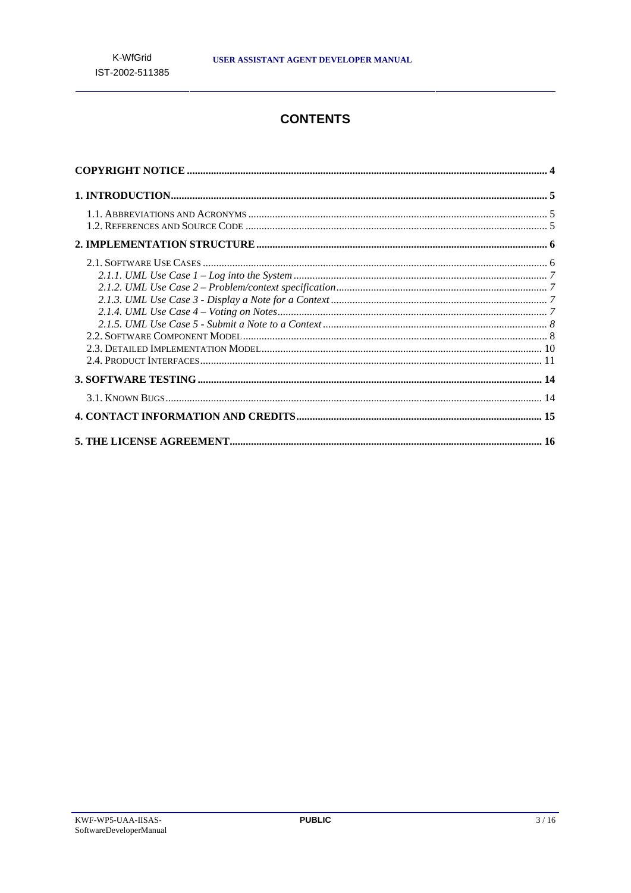# **CONTENTS**

| $1.1. A {\tt BBREVIATIONS}~ \textit{AND}~ \textit{ACRONYMS}~~~5$ |  |
|------------------------------------------------------------------|--|
|                                                                  |  |
|                                                                  |  |
|                                                                  |  |
|                                                                  |  |
|                                                                  |  |
|                                                                  |  |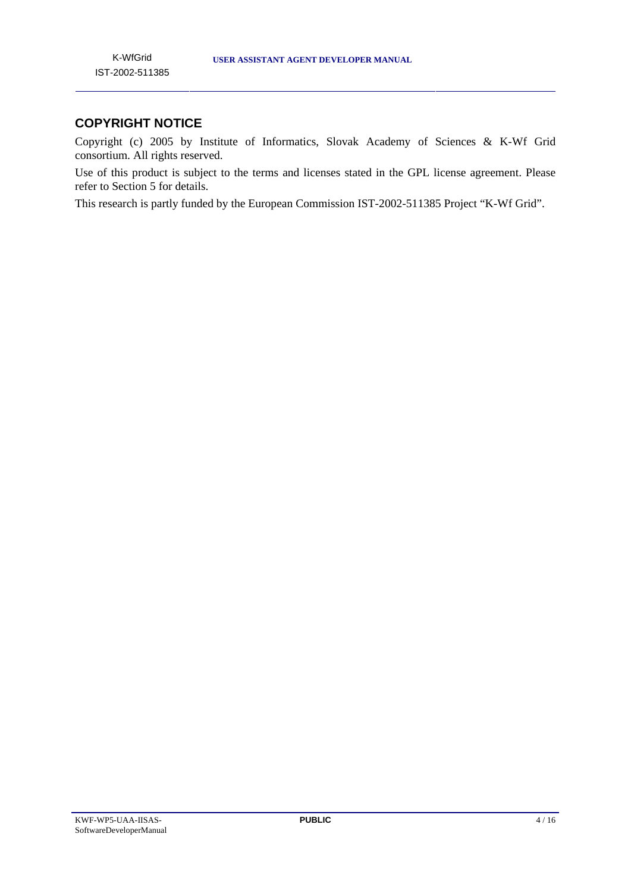# **COPYRIGHT NOTICE**

Copyright (c) 2005 by Institute of Informatics, Slovak Academy of Sciences & K-Wf Grid consortium. All rights reserved.

Use of this product is subject to the terms and licenses stated in the GPL license agreement. Please refer to Section 5 for details.

This research is partly funded by the European Commission IST-2002-511385 Project "K-Wf Grid".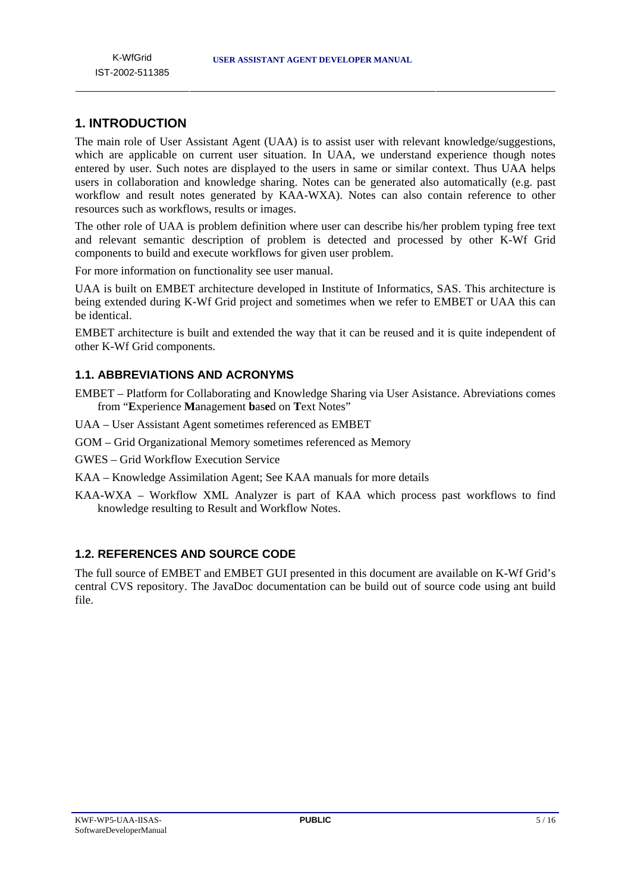# **1. INTRODUCTION**

The main role of User Assistant Agent (UAA) is to assist user with relevant knowledge/suggestions, which are applicable on current user situation. In UAA, we understand experience though notes entered by user. Such notes are displayed to the users in same or similar context. Thus UAA helps users in collaboration and knowledge sharing. Notes can be generated also automatically (e.g. past workflow and result notes generated by KAA-WXA). Notes can also contain reference to other resources such as workflows, results or images.

The other role of UAA is problem definition where user can describe his/her problem typing free text and relevant semantic description of problem is detected and processed by other K-Wf Grid components to build and execute workflows for given user problem.

For more information on functionality see user manual.

UAA is built on EMBET architecture developed in Institute of Informatics, SAS. This architecture is being extended during K-Wf Grid project and sometimes when we refer to EMBET or UAA this can be identical.

EMBET architecture is built and extended the way that it can be reused and it is quite independent of other K-Wf Grid components.

## **1.1. ABBREVIATIONS AND ACRONYMS**

- EMBET Platform for Collaborating and Knowledge Sharing via User Asistance. Abreviations comes from "**E**xperience **M**anagement **b**as**e**d on **T**ext Notes"
- UAA User Assistant Agent sometimes referenced as EMBET
- GOM Grid Organizational Memory sometimes referenced as Memory

GWES – Grid Workflow Execution Service

- KAA Knowledge Assimilation Agent; See KAA manuals for more details
- KAA-WXA Workflow XML Analyzer is part of KAA which process past workflows to find knowledge resulting to Result and Workflow Notes.

# **1.2. REFERENCES AND SOURCE CODE**

The full source of EMBET and EMBET GUI presented in this document are available on K-Wf Grid's central CVS repository. The JavaDoc documentation can be build out of source code using ant build file.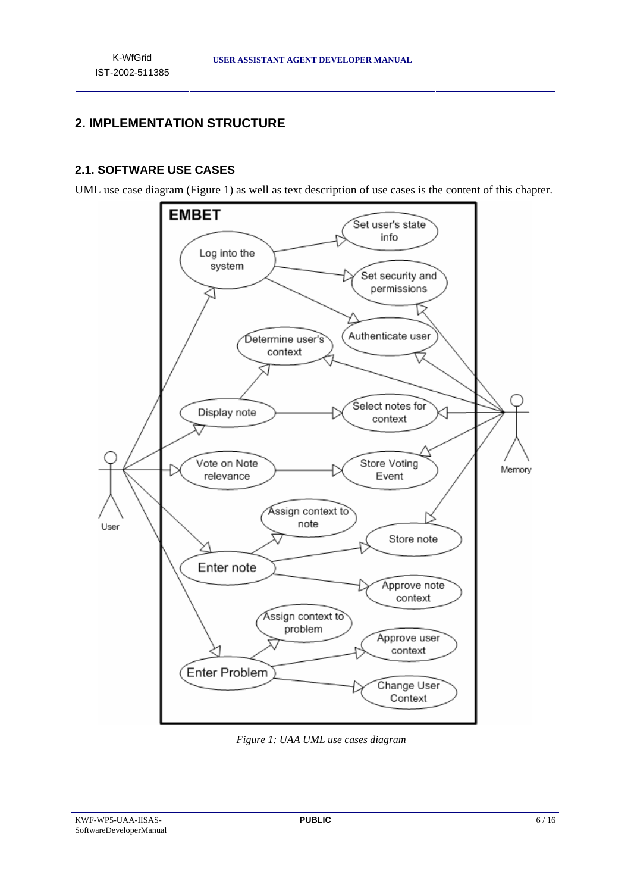# **2. IMPLEMENTATION STRUCTURE**

## **2.1. SOFTWARE USE CASES**

UML use case diagram (Figure 1) as well as text description of use cases is the content of this chapter.



*Figure 1: UAA UML use cases diagram*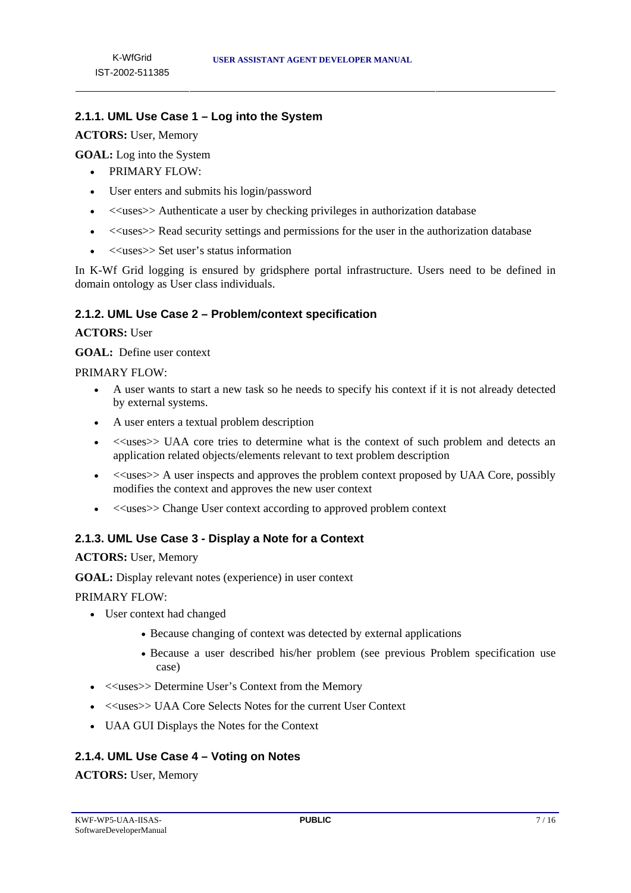# **2.1.1. UML Use Case 1 – Log into the System**

#### **ACTORS:** User, Memory

**GOAL:** Log into the System

- PRIMARY FLOW:
- User enters and submits his login/password
- $\langle\langle\text{uses}\rangle\rangle$  Authenticate a user by checking privileges in authorization database
- $\le$  uses>> Read security settings and permissions for the user in the authorization database
- <<uses>> Set user's status information

In K-Wf Grid logging is ensured by gridsphere portal infrastructure. Users need to be defined in domain ontology as User class individuals.

#### **2.1.2. UML Use Case 2 – Problem/context specification**

#### **ACTORS:** User

**GOAL:** Define user context

#### PRIMARY FLOW:

- A user wants to start a new task so he needs to specify his context if it is not already detected by external systems.
- A user enters a textual problem description
- <<uses>> UAA core tries to determine what is the context of such problem and detects an application related objects/elements relevant to text problem description
- < uses >> A user inspects and approves the problem context proposed by UAA Core, possibly modifies the context and approves the new user context
- <<uses>> Change User context according to approved problem context

#### **2.1.3. UML Use Case 3 - Display a Note for a Context**

#### **ACTORS:** User, Memory

**GOAL:** Display relevant notes (experience) in user context

PRIMARY FLOW:

- User context had changed
	- Because changing of context was detected by external applications
	- Because a user described his/her problem (see previous Problem specification use case)
- <<uses>> Determine User's Context from the Memory
- <<uses>> UAA Core Selects Notes for the current User Context
- UAA GUI Displays the Notes for the Context

#### **2.1.4. UML Use Case 4 – Voting on Notes**

**ACTORS:** User, Memory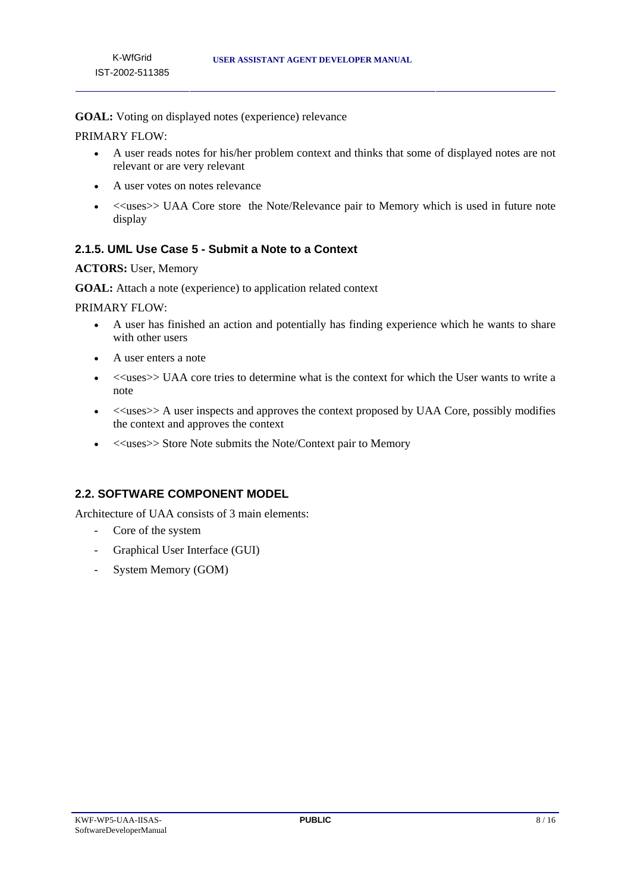**GOAL:** Voting on displayed notes (experience) relevance

PRIMARY FLOW:

- A user reads notes for his/her problem context and thinks that some of displayed notes are not relevant or are very relevant
- A user votes on notes relevance
- <<uses>> UAA Core store the Note/Relevance pair to Memory which is used in future note display

#### **2.1.5. UML Use Case 5 - Submit a Note to a Context**

#### **ACTORS:** User, Memory

**GOAL:** Attach a note (experience) to application related context

PRIMARY FLOW:

- A user has finished an action and potentially has finding experience which he wants to share with other users
- A user enters a note
- <<uses>> UAA core tries to determine what is the context for which the User wants to write a note
- <<uses>> A user inspects and approves the context proposed by UAA Core, possibly modifies the context and approves the context
- $\bullet \quad \langle \langle \text{uses} \rangle \rangle$  Store Note submits the Note/Context pair to Memory

## **2.2. SOFTWARE COMPONENT MODEL**

Architecture of UAA consists of 3 main elements:

- Core of the system
- Graphical User Interface (GUI)
- System Memory (GOM)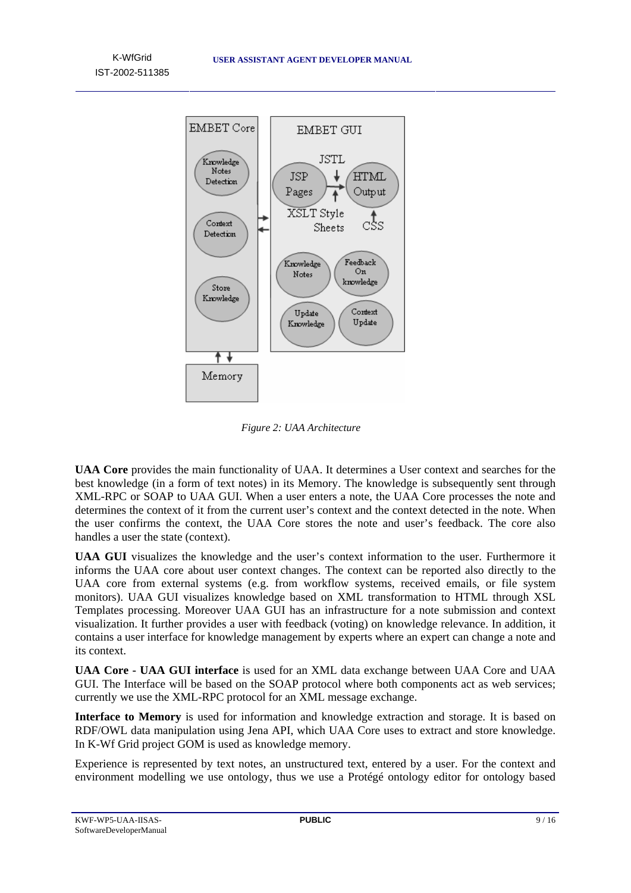K-WfGrid IST-2002-511385



*Figure 2: UAA Architecture* 

**UAA Core** provides the main functionality of UAA. It determines a User context and searches for the best knowledge (in a form of text notes) in its Memory. The knowledge is subsequently sent through XML-RPC or SOAP to UAA GUI. When a user enters a note, the UAA Core processes the note and determines the context of it from the current user's context and the context detected in the note. When the user confirms the context, the UAA Core stores the note and user's feedback. The core also handles a user the state (context).

**UAA GUI** visualizes the knowledge and the user's context information to the user. Furthermore it informs the UAA core about user context changes. The context can be reported also directly to the UAA core from external systems (e.g. from workflow systems, received emails, or file system monitors). UAA GUI visualizes knowledge based on XML transformation to HTML through XSL Templates processing. Moreover UAA GUI has an infrastructure for a note submission and context visualization. It further provides a user with feedback (voting) on knowledge relevance. In addition, it contains a user interface for knowledge management by experts where an expert can change a note and its context.

**UAA Core - UAA GUI interface** is used for an XML data exchange between UAA Core and UAA GUI. The Interface will be based on the SOAP protocol where both components act as web services; currently we use the XML-RPC protocol for an XML message exchange.

**Interface to Memory** is used for information and knowledge extraction and storage. It is based on RDF/OWL data manipulation using Jena API, which UAA Core uses to extract and store knowledge. In K-Wf Grid project GOM is used as knowledge memory.

Experience is represented by text notes, an unstructured text, entered by a user. For the context and environment modelling we use ontology, thus we use a Protégé ontology editor for ontology based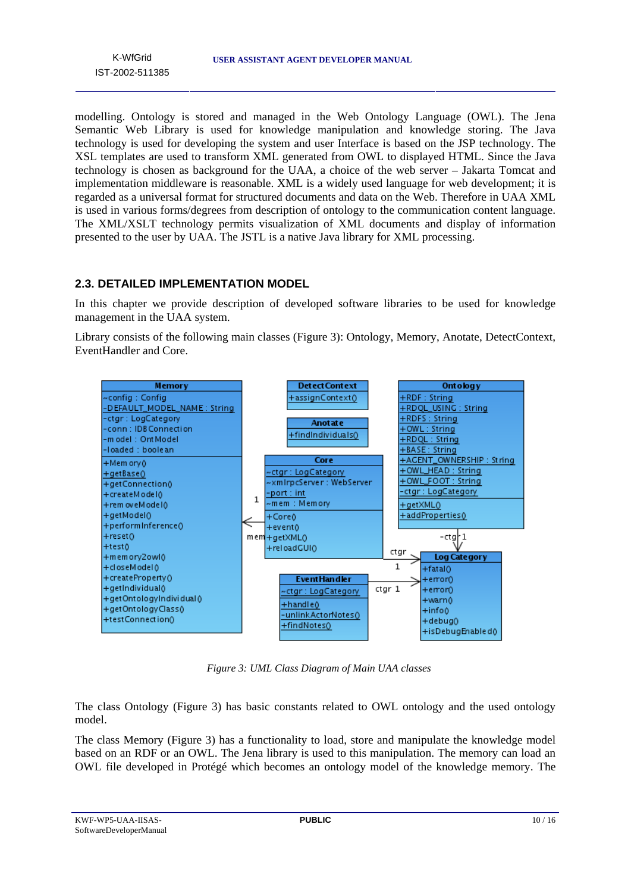modelling. Ontology is stored and managed in the Web Ontology Language (OWL). The Jena Semantic Web Library is used for knowledge manipulation and knowledge storing. The Java technology is used for developing the system and user Interface is based on the JSP technology. The XSL templates are used to transform XML generated from OWL to displayed HTML. Since the Java technology is chosen as background for the UAA, a choice of the web server – Jakarta Tomcat and implementation middleware is reasonable. XML is a widely used language for web development; it is regarded as a universal format for structured documents and data on the Web. Therefore in UAA XML is used in various forms/degrees from description of ontology to the communication content language. The XML/XSLT technology permits visualization of XML documents and display of information presented to the user by UAA. The JSTL is a native Java library for XML processing.

# **2.3. DETAILED IMPLEMENTATION MODEL**

In this chapter we provide description of developed software libraries to be used for knowledge management in the UAA system.

Library consists of the following main classes (Figure 3): Ontology, Memory, Anotate, DetectContext, EventHandler and Core.



*Figure 3: UML Class Diagram of Main UAA classes* 

The class Ontology (Figure 3) has basic constants related to OWL ontology and the used ontology model.

The class Memory (Figure 3) has a functionality to load, store and manipulate the knowledge model based on an RDF or an OWL. The Jena library is used to this manipulation. The memory can load an OWL file developed in Protégé which becomes an ontology model of the knowledge memory. The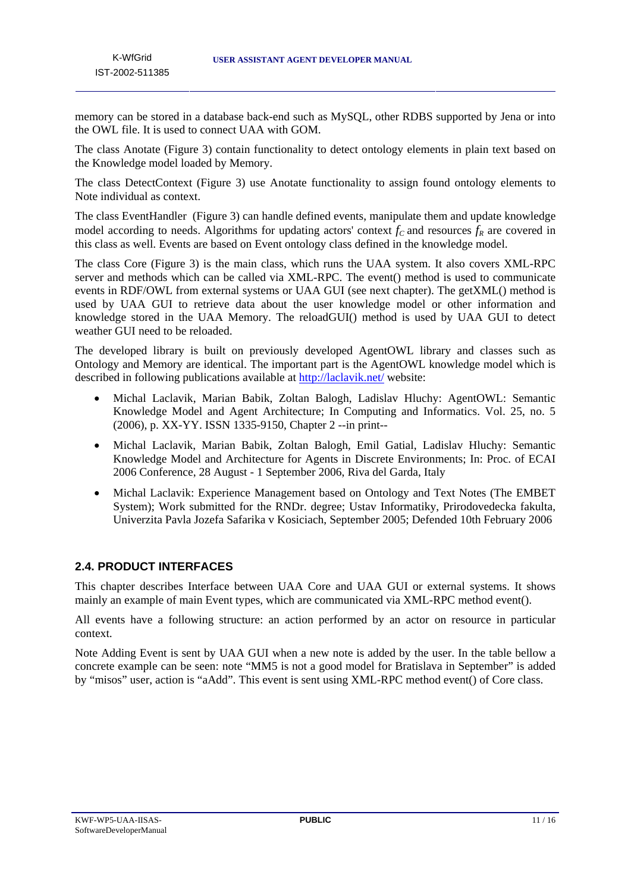memory can be stored in a database back-end such as MySQL, other RDBS supported by Jena or into the OWL file. It is used to connect UAA with GOM.

The class Anotate (Figure 3) contain functionality to detect ontology elements in plain text based on the Knowledge model loaded by Memory.

The class DetectContext (Figure 3) use Anotate functionality to assign found ontology elements to Note individual as context.

The class EventHandler (Figure 3) can handle defined events, manipulate them and update knowledge model according to needs. Algorithms for updating actors' context  $f_c$  and resources  $f_R$  are covered in this class as well. Events are based on Event ontology class defined in the knowledge model.

The class Core (Figure 3) is the main class, which runs the UAA system. It also covers XML-RPC server and methods which can be called via XML-RPC. The event() method is used to communicate events in RDF/OWL from external systems or UAA GUI (see next chapter). The getXML() method is used by UAA GUI to retrieve data about the user knowledge model or other information and knowledge stored in the UAA Memory. The reloadGUI() method is used by UAA GUI to detect weather GUI need to be reloaded.

The developed library is built on previously developed AgentOWL library and classes such as Ontology and Memory are identical. The important part is the AgentOWL knowledge model which is described in following publications available at http://laclavik.net/ website:

- Michal Laclavik, Marian Babik, Zoltan Balogh, Ladislav Hluchy: AgentOWL: Semantic Knowledge Model and Agent Architecture; In Computing and Informatics. Vol. 25, no. 5 (2006), p. XX-YY. ISSN 1335-9150, Chapter 2 --in print--
- Michal Laclavik, Marian Babik, Zoltan Balogh, Emil Gatial, Ladislav Hluchy: Semantic Knowledge Model and Architecture for Agents in Discrete Environments; In: Proc. of ECAI 2006 Conference, 28 August - 1 September 2006, Riva del Garda, Italy
- Michal Laclavik: Experience Management based on Ontology and Text Notes (The EMBET System); Work submitted for the RNDr. degree; Ustav Informatiky, Prirodovedecka fakulta, Univerzita Pavla Jozefa Safarika v Kosiciach, September 2005; Defended 10th February 2006

# **2.4. PRODUCT INTERFACES**

This chapter describes Interface between UAA Core and UAA GUI or external systems. It shows mainly an example of main Event types, which are communicated via XML-RPC method event().

All events have a following structure: an action performed by an actor on resource in particular context.

Note Adding Event is sent by UAA GUI when a new note is added by the user. In the table bellow a concrete example can be seen: note "MM5 is not a good model for Bratislava in September" is added by "misos" user, action is "aAdd". This event is sent using XML-RPC method event() of Core class.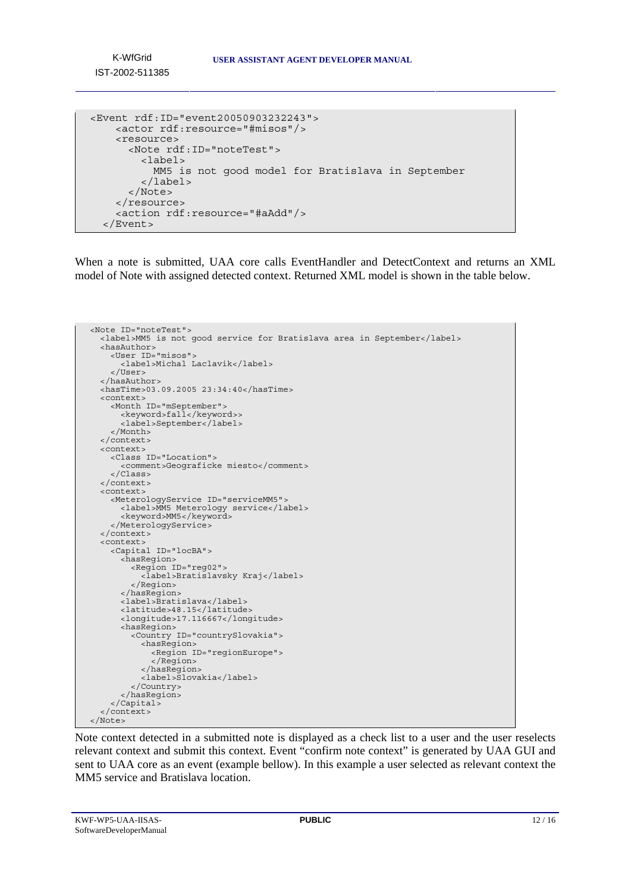K-WfGrid IST-2002-511385

```
<Event rdf:ID="event20050903232243"> 
     <actor rdf:resource="#misos"/> 
     <resource> 
       <Note rdf:ID="noteTest"> 
         <label> 
            MM5 is not good model for Bratislava in September 
         </label> 
       </Note> 
     </resource> 
     <action rdf:resource="#aAdd"/> 
   </Event>
```
When a note is submitted, UAA core calls EventHandler and DetectContext and returns an XML model of Note with assigned detected context. Returned XML model is shown in the table below.

```
<Note ID="noteTest"> 
   <label>MM5 is not good service for Bratislava area in September</label> 
   <hasAuthor> 
    <User ID="misos"> 
       <label>Michal Laclavik</label> 
     </User> 
   </hasAuthor> 
   <hasTime>03.09.2005 23:34:40</hasTime> 
 <context> 
 <Month ID="mSeptember"> 
       <keyword>fall</keyword>> 
       <label>September</label> 
     </Month> 
   </context> 
   <context> 
     <Class ID="Location"> 
       <comment>Geograficke miesto</comment> 
     </Class> 
  </context> 
  <context> 
     <MeterologyService ID="serviceMM5"> 
       <label>MM5 Meterology service</label> 
      <keyword>MM5</keyword>
     </MeterologyService> 
  </context> 
   <context> 
     <Capital ID="locBA"> 
       <hasRegion> 
         <Region ID="reg02"> 
            <label>Bratislavsky Kraj</label> 
         </Region> 
       </hasRegion> 
       <label>Bratislava</label> 
       <latitude>48.15</latitude> 
       <longitude>17.116667</longitude> 
 <hasRegion> 
 <Country ID="countrySlovakia"> 
            <hasRegion> 
             <Region ID="regionEurope"> 
              </Region> 
            </hasRegion> 
            <label>Slovakia</label> 
         </Country> 
       </hasRegion> 
     </Capital> 
   </context> 
</Note>
```
Note context detected in a submitted note is displayed as a check list to a user and the user reselects relevant context and submit this context. Event "confirm note context" is generated by UAA GUI and sent to UAA core as an event (example bellow). In this example a user selected as relevant context the MM5 service and Bratislava location.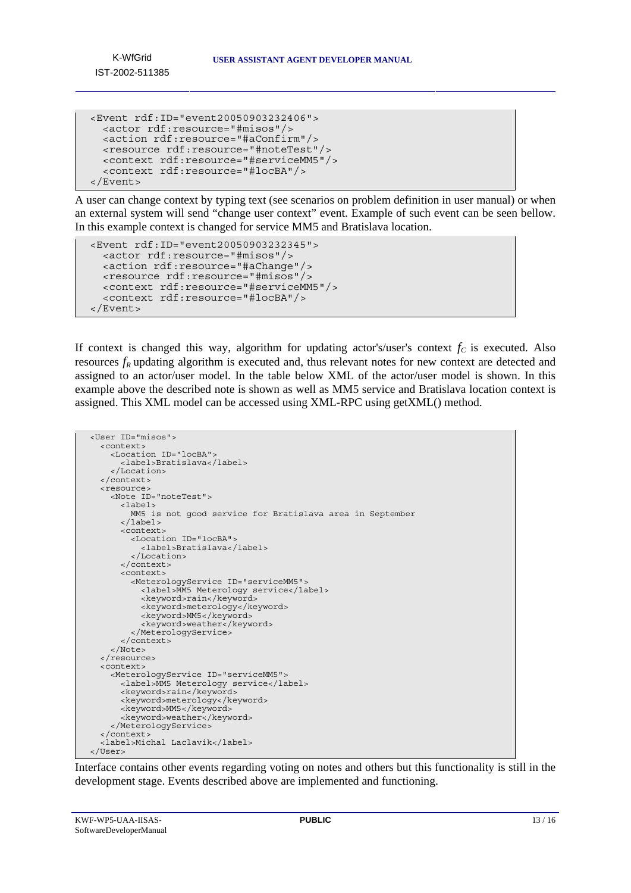K-WfGrid IST-2002-511385

```
<Event rdf:ID="event20050903232406"> 
   <actor rdf:resource="#misos"/> 
   <action rdf:resource="#aConfirm"/> 
   <resource rdf:resource="#noteTest"/> 
   <context rdf:resource="#serviceMM5"/> 
   <context rdf:resource="#locBA"/> 
</Event>
```
A user can change context by typing text (see scenarios on problem definition in user manual) or when an external system will send "change user context" event. Example of such event can be seen bellow. In this example context is changed for service MM5 and Bratislava location.

```
<Event rdf:ID="event20050903232345"> 
   <actor rdf:resource="#misos"/> 
   <action rdf:resource="#aChange"/> 
   <resource rdf:resource="#misos"/> 
   <context rdf:resource="#serviceMM5"/> 
   <context rdf:resource="#locBA"/> 
</Event>
```
If context is changed this way, algorithm for updating actor's/user's context  $f_c$  is executed. Also resources  $f_R$  updating algorithm is executed and, thus relevant notes for new context are detected and assigned to an actor/user model. In the table below XML of the actor/user model is shown. In this example above the described note is shown as well as MM5 service and Bratislava location context is assigned. This XML model can be accessed using XML-RPC using getXML() method.

```
<User ID="misos"> 
   <context> 
     <Location ID="locBA"> 
       <label>Bratislava</label> 
     </Location> 
   </context> 
   <resource> 
     <Note ID="noteTest"> 
       <label> 
         MM5 is not good service for Bratislava area in September 
      \epsilon/lahels
       <context> 
         <Location ID="locBA"> 
            <label>Bratislava</label> 
          </Location> 
       </context> 
       <context> 
         <MeterologyService ID="serviceMM5"> 
            <label>MM5 Meterology service</label> 
            <keyword>rain</keyword> 
            <keyword>meterology</keyword> 
           <keyword>MM5</keyword>
           <keyword>weather</keyword>
          </MeterologyService> 
       </context> 
     </Note> 
  </resource>
   <context> 
     <MeterologyService ID="serviceMM5"> 
       <label>MM5 Meterology service</label> 
       <keyword>rain</keyword> 
       <keyword>meterology</keyword> 
      <keyword>MM5</keyword>
      <keyword>weather</keyword>
     </MeterologyService> 
  </context>
   <label>Michal Laclavik</label> 
</User>
```
Interface contains other events regarding voting on notes and others but this functionality is still in the development stage. Events described above are implemented and functioning.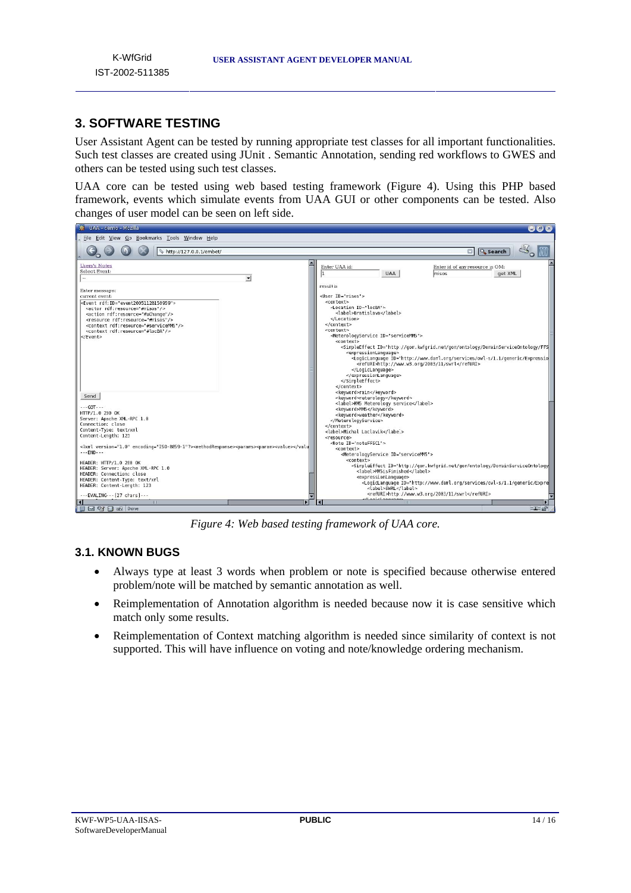# **3. SOFTWARE TESTING**

User Assistant Agent can be tested by running appropriate test classes for all important functionalities. Such test classes are created using JUnit . Semantic Annotation, sending red workflows to GWES and others can be tested using such test classes.

UAA core can be tested using web based testing framework (Figure 4). Using this PHP based framework, events which simulate events from UAA GUI or other components can be tested. Also changes of user model can be seen on left side.



*Figure 4: Web based testing framework of UAA core.* 

## **3.1. KNOWN BUGS**

- Always type at least 3 words when problem or note is specified because otherwise entered problem/note will be matched by semantic annotation as well.
- Reimplementation of Annotation algorithm is needed because now it is case sensitive which match only some results.
- Reimplementation of Context matching algorithm is needed since similarity of context is not supported. This will have influence on voting and note/knowledge ordering mechanism.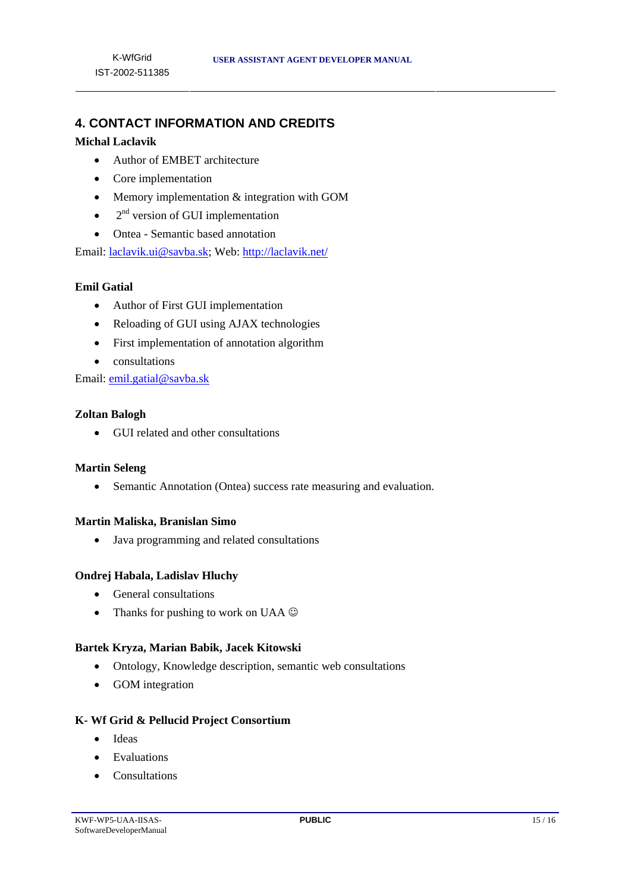# **4. CONTACT INFORMATION AND CREDITS**

#### **Michal Laclavik**

- Author of EMBET architecture
- Core implementation
- Memory implementation  $&$  integration with GOM
- $\bullet$  2<sup>nd</sup> version of GUI implementation
- Ontea Semantic based annotation

Email: laclavik.ui@savba.sk; Web: http://laclavik.net/

#### **Emil Gatial**

- Author of First GUI implementation
- Reloading of GUI using AJAX technologies
- First implementation of annotation algorithm
- consultations

Email: emil.gatial@savba.sk

#### **Zoltan Balogh**

• GUI related and other consultations

#### **Martin Seleng**

• Semantic Annotation (Ontea) success rate measuring and evaluation.

#### **Martin Maliska, Branislan Simo**

• Java programming and related consultations

#### **Ondrej Habala, Ladislav Hluchy**

- General consultations
- Thanks for pushing to work on UAA  $\odot$

#### **Bartek Kryza, Marian Babik, Jacek Kitowski**

- Ontology, Knowledge description, semantic web consultations
- GOM integration

#### **K- Wf Grid & Pellucid Project Consortium**

- Ideas
- Evaluations
- Consultations